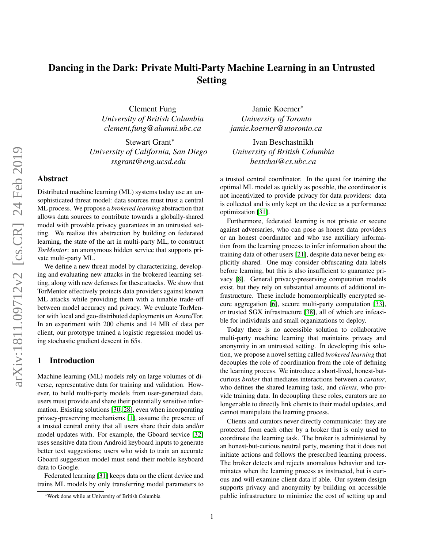# Dancing in the Dark: Private Multi-Party Machine Learning in an Untrusted Setting

Clement Fung *University of British Columbia clement.fung@alumni.ubc.ca*

Stewart Grant<sup>∗</sup> *University of California, San Diego ssgrant@eng.ucsd.edu*

# Abstract

Distributed machine learning (ML) systems today use an unsophisticated threat model: data sources must trust a central ML process. We propose a *brokered learning* abstraction that allows data sources to contribute towards a globally-shared model with provable privacy guarantees in an untrusted setting. We realize this abstraction by building on federated learning, the state of the art in multi-party ML, to construct *TorMentor*: an anonymous hidden service that supports private multi-party ML.

We define a new threat model by characterizing, developing and evaluating new attacks in the brokered learning setting, along with new defenses for these attacks. We show that TorMentor effectively protects data providers against known ML attacks while providing them with a tunable trade-off between model accuracy and privacy. We evaluate TorMentor with local and geo-distributed deployments on Azure/Tor. In an experiment with 200 clients and 14 MB of data per client, our prototype trained a logistic regression model using stochastic gradient descent in 65s.

#### 1 Introduction

Machine learning (ML) models rely on large volumes of diverse, representative data for training and validation. However, to build multi-party models from user-generated data, users must provide and share their potentially sensitive information. Existing solutions [\[30,](#page-14-0) [28\]](#page-14-1), even when incorporating privacy-preserving mechanisms [\[1\]](#page-13-0), assume the presence of a trusted central entity that all users share their data and/or model updates with. For example, the Gboard service [\[32\]](#page-14-2) uses sensitive data from Android keyboard inputs to generate better text suggestions; users who wish to train an accurate Gboard suggestion model must send their mobile keyboard data to Google.

Federated learning [\[31\]](#page-14-3) keeps data on the client device and trains ML models by only transferring model parameters to

Jamie Koerner<sup>∗</sup> *University of Toronto jamie.koerner@utoronto.ca*

Ivan Beschastnikh *University of British Columbia bestchai@cs.ubc.ca*

a trusted central coordinator. In the quest for training the optimal ML model as quickly as possible, the coordinator is not incentivized to provide privacy for data providers: data is collected and is only kept on the device as a performance optimization [\[31\]](#page-14-3).

Furthermore, federated learning is not private or secure against adversaries, who can pose as honest data providers or an honest coordinator and who use auxiliary information from the learning process to infer information about the training data of other users [\[21\]](#page-14-4), despite data never being explicitly shared. One may consider obfuscating data labels before learning, but this is also insufficient to guarantee privacy [\[8\]](#page-13-1). General privacy-preserving computation models exist, but they rely on substantial amounts of additional infrastructure. These include homomorphically encrypted secure aggregation [\[6\]](#page-13-2), secure multi-party computation [\[33\]](#page-14-5), or trusted SGX infrastructure [\[38\]](#page-14-6), all of which are infeasible for individuals and small organizations to deploy.

Today there is no accessible solution to collaborative multi-party machine learning that maintains privacy and anonymity in an untrusted setting. In developing this solution, we propose a novel setting called *brokered learning* that decouples the role of coordination from the role of defining the learning process. We introduce a short-lived, honest-butcurious *broker* that mediates interactions between a *curator*, who defines the shared learning task, and *clients*, who provide training data. In decoupling these roles, curators are no longer able to directly link clients to their model updates, and cannot manipulate the learning process.

Clients and curators never directly communicate: they are protected from each other by a broker that is only used to coordinate the learning task. The broker is administered by an honest-but-curious neutral party, meaning that it does not initiate actions and follows the prescribed learning process. The broker detects and rejects anomalous behavior and terminates when the learning process as instructed, but is curious and will examine client data if able. Our system design supports privacy and anonymity by building on accessible public infrastructure to minimize the cost of setting up and

<sup>∗</sup>Work done while at University of British Columbia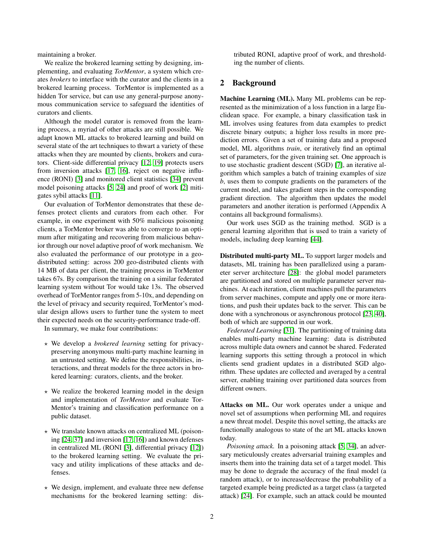maintaining a broker.

We realize the brokered learning setting by designing, implementing, and evaluating *TorMentor*, a system which creates *brokers* to interface with the curator and the clients in a brokered learning process. TorMentor is implemented as a hidden Tor service, but can use any general-purpose anonymous communication service to safeguard the identities of curators and clients.

Although the model curator is removed from the learning process, a myriad of other attacks are still possible. We adapt known ML attacks to brokered learning and build on several state of the art techniques to thwart a variety of these attacks when they are mounted by clients, brokers and curators. Client-side differential privacy [\[12,](#page-13-3) [19\]](#page-13-4) protects users from inversion attacks [\[17,](#page-13-5) [16\]](#page-13-6), reject on negative influence (RONI) [\[3\]](#page-13-7) and monitored client statistics [\[34\]](#page-14-7) prevent model poisoning attacks [\[5,](#page-13-8) [24\]](#page-14-8) and proof of work [\[2\]](#page-13-9) mitigates sybil attacks [\[11\]](#page-13-10).

Our evaluation of TorMentor demonstrates that these defenses protect clients and curators from each other. For example, in one experiment with 50% malicious poisoning clients, a TorMentor broker was able to converge to an optimum after mitigating and recovering from malicious behavior through our novel adaptive proof of work mechanism. We also evaluated the performance of our prototype in a geodistributed setting: across 200 geo-distributed clients with 14 MB of data per client, the training process in TorMentor takes 67s. By comparison the training on a similar federated learning system without Tor would take 13s. The observed overhead of TorMentor ranges from 5-10x, and depending on the level of privacy and security required, TorMentor's modular design allows users to further tune the system to meet their expected needs on the security-performance trade-off.

In summary, we make four contributions:

- ? We develop a *brokered learning* setting for privacypreserving anonymous multi-party machine learning in an untrusted setting. We define the responsibilities, interactions, and threat models for the three actors in brokered learning: curators, clients, and the broker.
- $\star$  We realize the brokered learning model in the design and implementation of *TorMentor* and evaluate Tor-Mentor's training and classification performance on a public dataset.
- $\star$  We translate known attacks on centralized ML (poisoning [\[24,](#page-14-8) [37\]](#page-14-9) and inversion [\[17,](#page-13-5) [16\]](#page-13-6)) and known defenses in centralized ML (RONI [\[3\]](#page-13-7), differential privacy [\[12\]](#page-13-3)) to the brokered learning setting. We evaluate the privacy and utility implications of these attacks and defenses.
- $\star$  We design, implement, and evaluate three new defense mechanisms for the brokered learning setting: dis-

tributed RONI, adaptive proof of work, and thresholding the number of clients.

# 2 Background

Machine Learning (ML). Many ML problems can be represented as the minimization of a loss function in a large Euclidean space. For example, a binary classification task in ML involves using features from data examples to predict discrete binary outputs; a higher loss results in more prediction errors. Given a set of training data and a proposed model, ML algorithms *train*, or iteratively find an optimal set of parameters, for the given training set. One approach is to use stochastic gradient descent (SGD) [\[7\]](#page-13-11), an iterative algorithm which samples a batch of training examples of size *b*, uses them to compute gradients on the parameters of the current model, and takes gradient steps in the corresponding gradient direction. The algorithm then updates the model parameters and another iteration is performed (Appendix A contains all background formalisms).

Our work uses SGD as the training method. SGD is a general learning algorithm that is used to train a variety of models, including deep learning [\[44\]](#page-14-10).

Distributed multi-party ML. To support larger models and datasets, ML training has been parallelized using a parameter server architecture [\[28\]](#page-14-1): the global model parameters are partitioned and stored on multiple parameter server machines. At each iteration, client machines pull the parameters from server machines, compute and apply one or more iterations, and push their updates back to the server. This can be done with a synchronous or asynchronous protocol [\[23,](#page-14-11) [40\]](#page-14-12), both of which are supported in our work.

*Federated Learning* [\[31\]](#page-14-3). The partitioning of training data enables multi-party machine learning: data is distributed across multiple data owners and cannot be shared. Federated learning supports this setting through a protocol in which clients send gradient updates in a distributed SGD algorithm. These updates are collected and averaged by a central server, enabling training over partitioned data sources from different owners.

Attacks on ML. Our work operates under a unique and novel set of assumptions when performing ML and requires a new threat model. Despite this novel setting, the attacks are functionally analogous to state of the art ML attacks known today.

*Poisoning attack.* In a poisoning attack [\[5,](#page-13-8) [34\]](#page-14-7), an adversary meticulously creates adversarial training examples and inserts them into the training data set of a target model. This may be done to degrade the accuracy of the final model (a random attack), or to increase/decrease the probability of a targeted example being predicted as a target class (a targeted attack) [\[24\]](#page-14-8). For example, such an attack could be mounted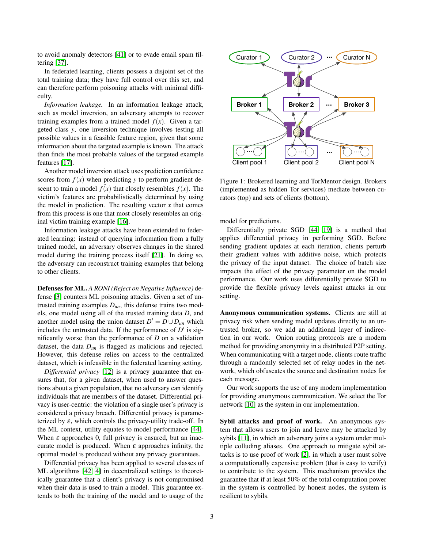to avoid anomaly detectors [\[41\]](#page-14-13) or to evade email spam filtering [\[37\]](#page-14-9).

In federated learning, clients possess a disjoint set of the total training data; they have full control over this set, and can therefore perform poisoning attacks with minimal difficulty.

*Information leakage.* In an information leakage attack, such as model inversion, an adversary attempts to recover training examples from a trained model  $f(x)$ . Given a targeted class *y*, one inversion technique involves testing all possible values in a feasible feature region, given that some information about the targeted example is known. The attack then finds the most probable values of the targeted example features [\[17\]](#page-13-5).

Another model inversion attack uses prediction confidence scores from  $f(x)$  when predicting *y* to perform gradient descent to train a model  $\hat{f}(x)$  that closely resembles  $f(x)$ . The victim's features are probabilistically determined by using the model in prediction. The resulting vector  $x$  that comes from this process is one that most closely resembles an original victim training example [\[16\]](#page-13-6).

Information leakage attacks have been extended to federated learning: instead of querying information from a fully trained model, an adversary observes changes in the shared model during the training process itself [\[21\]](#page-14-4). In doing so, the adversary can reconstruct training examples that belong to other clients.

Defenses for ML. *A RONI (Reject on Negative Influence)* defense [\[3\]](#page-13-7) counters ML poisoning attacks. Given a set of untrusted training examples  $D_{un}$ , this defense trains two models, one model using all of the trusted training data *D*, and another model using the union dataset  $D' = D \cup D_{un}$  which includes the untrusted data. If the performance of  $D'$  is significantly worse than the performance of *D* on a validation dataset, the data  $D_{un}$  is flagged as malicious and rejected. However, this defense relies on access to the centralized dataset, which is infeasible in the federated learning setting.

*Differential privacy* [\[12\]](#page-13-3) is a privacy guarantee that ensures that, for a given dataset, when used to answer questions about a given population, that no adversary can identify individuals that are members of the dataset. Differential privacy is user-centric: the violation of a single user's privacy is considered a privacy breach. Differential privacy is parameterized by  $\varepsilon$ , which controls the privacy-utility trade-off. In the ML context, utility equates to model performance [\[44\]](#page-14-10). When  $\varepsilon$  approaches 0, full privacy is ensured, but an inaccurate model is produced. When  $\varepsilon$  approaches infinity, the optimal model is produced without any privacy guarantees.

Differential privacy has been applied to several classes of ML algorithms [\[42,](#page-14-14) [4\]](#page-13-12) in decentralized settings to theoretically guarantee that a client's privacy is not compromised when their data is used to train a model. This guarantee extends to both the training of the model and to usage of the



<span id="page-2-0"></span>Figure 1: Brokered learning and TorMentor design. Brokers (implemented as hidden Tor services) mediate between curators (top) and sets of clients (bottom).

model for predictions.

Differentially private SGD [\[44,](#page-14-10) [19\]](#page-13-4) is a method that applies differential privacy in performing SGD. Before sending gradient updates at each iteration, clients perturb their gradient values with additive noise, which protects the privacy of the input dataset. The choice of batch size impacts the effect of the privacy parameter on the model performance. Our work uses differentially private SGD to provide the flexible privacy levels against attacks in our setting.

Anonymous communication systems. Clients are still at privacy risk when sending model updates directly to an untrusted broker, so we add an additional layer of indirection in our work. Onion routing protocols are a modern method for providing anonymity in a distributed P2P setting. When communicating with a target node, clients route traffic through a randomly selected set of relay nodes in the network, which obfuscates the source and destination nodes for each message.

Our work supports the use of any modern implementation for providing anonymous communication. We select the Tor network [\[10\]](#page-13-13) as the system in our implementation.

Sybil attacks and proof of work. An anonymous system that allows users to join and leave may be attacked by sybils [\[11\]](#page-13-10), in which an adversary joins a system under multiple colluding aliases. One approach to mitigate sybil attacks is to use proof of work [\[2\]](#page-13-9), in which a user must solve a computationally expensive problem (that is easy to verify) to contribute to the system. This mechanism provides the guarantee that if at least 50% of the total computation power in the system is controlled by honest nodes, the system is resilient to sybils.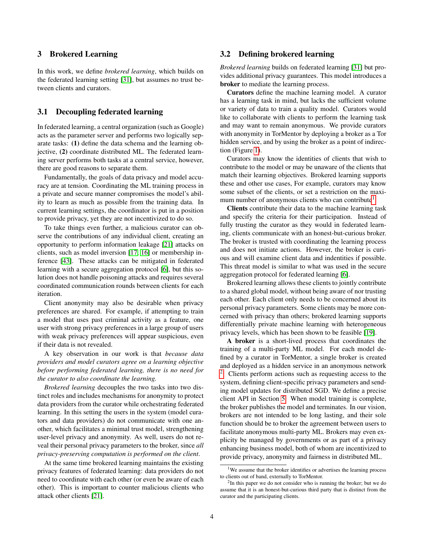#### 3 Brokered Learning

In this work, we define *brokered learning*, which builds on the federated learning setting [\[31\]](#page-14-3), but assumes no trust between clients and curators.

# 3.1 Decoupling federated learning

In federated learning, a central organization (such as Google) acts as the parameter server and performs two logically separate tasks: (1) define the data schema and the learning objective, (2) coordinate distributed ML. The federated learning server performs both tasks at a central service, however, there are good reasons to separate them.

Fundamentally, the goals of data privacy and model accuracy are at tension. Coordinating the ML training process in a private and secure manner compromises the model's ability to learn as much as possible from the training data. In current learning settings, the coordinator is put in a position to provide privacy, yet they are not incentivized to do so.

To take things even further, a malicious curator can observe the contributions of any individual client, creating an opportunity to perform information leakage [\[21\]](#page-14-4) attacks on clients, such as model inversion [\[17,](#page-13-5) [16\]](#page-13-6) or membership inference [\[43\]](#page-14-15). These attacks can be mitigated in federated learning with a secure aggregation protocol [\[6\]](#page-13-2), but this solution does not handle poisoning attacks and requires several coordinated communication rounds between clients for each iteration.

Client anonymity may also be desirable when privacy preferences are shared. For example, if attempting to train a model that uses past criminal activity as a feature, one user with strong privacy preferences in a large group of users with weak privacy preferences will appear suspicious, even if their data is not revealed.

A key observation in our work is that *because data providers and model curators agree on a learning objective before performing federated learning, there is no need for the curator to also coordinate the learning.*

*Brokered learning* decouples the two tasks into two distinct roles and includes mechanisms for anonymity to protect data providers from the curator while orchestrating federated learning. In this setting the users in the system (model curators and data providers) do not communicate with one another, which facilitates a minimal trust model, strengthening user-level privacy and anonymity. As well, users do not reveal their personal privacy parameters to the broker, since *all privacy-preserving computation is performed on the client*.

At the same time brokered learning maintains the existing privacy features of federated learning: data providers do not need to coordinate with each other (or even be aware of each other). This is important to counter malicious clients who attack other clients [\[21\]](#page-14-4).

#### 3.2 Defining brokered learning

*Brokered learning* builds on federated learning [\[31\]](#page-14-3) but provides additional privacy guarantees. This model introduces a broker to mediate the learning process.

Curators define the machine learning model. A curator has a learning task in mind, but lacks the sufficient volume or variety of data to train a quality model. Curators would like to collaborate with clients to perform the learning task and may want to remain anonymous. We provide curators with anonymity in TorMentor by deploying a broker as a Tor hidden service, and by using the broker as a point of indirection (Figure [1\)](#page-2-0).

Curators may know the identities of clients that wish to contribute to the model or may be unaware of the clients that match their learning objectives. Brokered learning supports these and other use cases, For example, curators may know some subset of the clients, or set a restriction on the maxi-mum number of anonymous clients who can contribute<sup>[1](#page-3-0)</sup>.

Clients contribute their data to the machine learning task and specify the criteria for their participation. Instead of fully trusting the curator as they would in federated learning, clients communicate with an honest-but-curious broker. The broker is trusted with coordinating the learning process and does not initiate actions. However, the broker is curious and will examine client data and indentities if possible. This threat model is similar to what was used in the secure aggregation protocol for federated learning [\[6\]](#page-13-2).

Brokered learning allows these clients to jointly contribute to a shared global model, without being aware of nor trusting each other. Each client only needs to be concerned about its personal privacy parameters. Some clients may be more concerned with privacy than others; brokered learning supports differentially private machine learning with heterogeneous privacy levels, which has been shown to be feasible [\[19\]](#page-13-4).

A broker is a short-lived process that coordinates the training of a multi-party ML model. For each model defined by a curator in TorMentor, a single broker is created and deployed as a hidden service in an anonymous network <sup>[2](#page-3-1)</sup>. Clients perform actions such as requesting access to the system, defining client-specific privacy parameters and sending model updates for distributed SGD. We define a precise client API in Section [5.](#page-5-0) When model training is complete, the broker publishes the model and terminates. In our vision, brokers are not intended to be long lasting, and their sole function should be to broker the agreement between users to facilitate anonymous multi-party ML. Brokers may even explicity be managed by governments or as part of a privacy enhancing business model, both of whom are incentivized to provide privacy, anonymity and fairness in distributed ML.

<span id="page-3-0"></span><sup>&</sup>lt;sup>1</sup>We assume that the broker identifies or advertises the learning process to clients out of band, externally to TorMentor.

<span id="page-3-1"></span> $2$ In this paper we do not consider who is running the broker; but we do assume that it is an honest-but-curious third party that is distinct from the curator and the participating clients.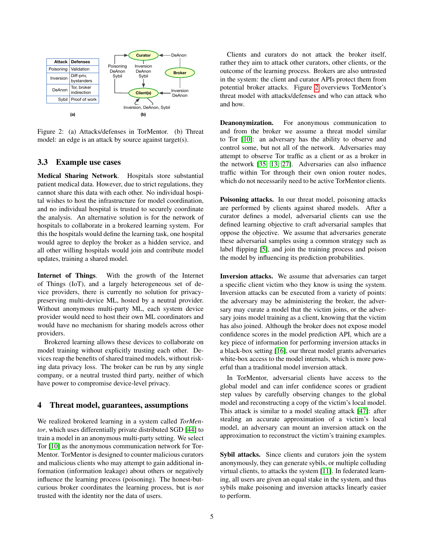

<span id="page-4-0"></span>Figure 2: (a) Attacks/defenses in TorMentor. (b) Threat model: an edge is an attack by source against target(s).

#### 3.3 Example use cases

Medical Sharing Network. Hospitals store substantial patient medical data. However, due to strict regulations, they cannot share this data with each other. No individual hospital wishes to host the infrastructure for model coordination, and no individual hospital is trusted to securely coordinate the analysis. An alternative solution is for the network of hospitals to collaborate in a brokered learning system. For this the hospitals would define the learning task, one hospital would agree to deploy the broker as a hidden service, and all other willing hospitals would join and contribute model updates, training a shared model.

Internet of Things. With the growth of the Internet of Things (IoT), and a largely heterogeneous set of device providers, there is currently no solution for privacypreserving multi-device ML, hosted by a neutral provider. Without anonymous multi-party ML, each system device provider would need to host their own ML coordinators and would have no mechanism for sharing models across other providers.

Brokered learning allows these devices to collaborate on model training without explicitly trusting each other. Devices reap the benefits of shared trained models, without risking data privacy loss. The broker can be run by any single company, or a neutral trusted third party, neither of which have power to compromise device-level privacy.

#### 4 Threat model, guarantees, assumptions

We realized brokered learning in a system called *TorMentor*, which uses differentially private distributed SGD [\[44\]](#page-14-10) to train a model in an anonymous multi-party setting. We select Tor [\[10\]](#page-13-13) as the anonymous communication network for Tor-Mentor. TorMentor is designed to counter malicious curators and malicious clients who may attempt to gain additional information (information leakage) about others or negatively influence the learning process (poisoning). The honest-butcurious broker coordinates the learning process, but is *not* trusted with the identity nor the data of users.

Clients and curators do not attack the broker itself, rather they aim to attack other curators, other clients, or the outcome of the learning process. Brokers are also untrusted in the system: the client and curator APIs protect them from potential broker attacks. Figure [2](#page-4-0) overviews TorMentor's threat model with attacks/defenses and who can attack who and how.

Deanonymization. For anonymous communication to and from the broker we assume a threat model similar to Tor [\[10\]](#page-13-13): an adversary has the ability to observe and control some, but not all of the network. Adversaries may attempt to observe Tor traffic as a client or as a broker in the network [\[35,](#page-14-16) [13,](#page-13-14) [27\]](#page-14-17). Adversaries can also influence traffic within Tor through their own onion router nodes, which do not necessarily need to be active TorMentor clients.

Poisoning attacks. In our threat model, poisoning attacks are performed by clients against shared models. After a curator defines a model, adversarial clients can use the defined learning objective to craft adversarial samples that oppose the objective. We assume that adversaries generate these adversarial samples using a common strategy such as label flipping [\[5\]](#page-13-8), and join the training process and poison the model by influencing its prediction probabilities.

Inversion attacks. We assume that adversaries can target a specific client victim who they know is using the system. Inversion attacks can be executed from a variety of points: the adversary may be administering the broker, the adversary may curate a model that the victim joins, or the adversary joins model training as a client, knowing that the victim has also joined. Although the broker does not expose model confidence scores in the model prediction API, which are a key piece of information for performing inversion attacks in a black-box setting [\[16\]](#page-13-6), our threat model grants adversaries white-box access to the model internals, which is more powerful than a traditional model inversion attack.

In TorMentor, adversarial clients have access to the global model and can infer confidence scores or gradient step values by carefully observing changes to the global model and reconstructing a copy of the victim's local model. This attack is similar to a model stealing attack [\[47\]](#page-14-18): after stealing an accurate approximation of a victim's local model, an adversary can mount an inversion attack on the approximation to reconstruct the victim's training examples.

Sybil attacks. Since clients and curators join the system anonymously, they can generate sybils, or multiple colluding virtual clients, to attacks the system [\[11\]](#page-13-10). In federated learning, all users are given an equal stake in the system, and thus sybils make poisoning and inversion attacks linearly easier to perform.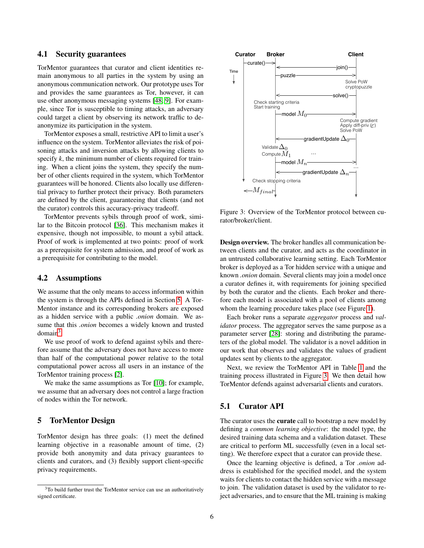#### 4.1 Security guarantees

TorMentor guarantees that curator and client identities remain anonymous to all parties in the system by using an anonymous communication network. Our prototype uses Tor and provides the same guarantees as Tor, however, it can use other anonymous messaging systems [\[48,](#page-14-19) [9\]](#page-13-15). For example, since Tor is susceptible to timing attacks, an adversary could target a client by observing its network traffic to deanonymize its participation in the system.

TorMentor exposes a small, restrictive API to limit a user's influence on the system. TorMentor alleviates the risk of poisoning attacks and inversion attacks by allowing clients to specify *k*, the minimum number of clients required for training. When a client joins the system, they specify the number of other clients required in the system, which TorMentor guarantees will be honored. Clients also locally use differential privacy to further protect their privacy. Both parameters are defined by the client, guaranteeing that clients (and not the curator) controls this accuracy-privacy tradeoff.

TorMentor prevents sybils through proof of work, similar to the Bitcoin protocol [\[36\]](#page-14-20). This mechanism makes it expensive, though not impossible, to mount a sybil attack. Proof of work is implemented at two points: proof of work as a prerequisite for system admission, and proof of work as a prerequisite for contributing to the model.

#### 4.2 Assumptions

We assume that the only means to access information within the system is through the APIs defined in Section [5.](#page-5-0) A Tor-Mentor instance and its corresponding brokers are exposed as a hidden service with a public *.onion* domain. We assume that this *.onion* becomes a widely known and trusted  $domain<sup>3</sup>$  $domain<sup>3</sup>$  $domain<sup>3</sup>$ .

We use proof of work to defend against sybils and therefore assume that the adversary does not have access to more than half of the computational power relative to the total computational power across all users in an instance of the TorMentor training process [\[2\]](#page-13-9).

We make the same assumptions as Tor [\[10\]](#page-13-13); for example, we assume that an adversary does not control a large fraction of nodes within the Tor network.

#### <span id="page-5-0"></span>5 TorMentor Design

TorMentor design has three goals: (1) meet the defined learning objective in a reasonable amount of time, (2) provide both anonymity and data privacy guarantees to clients and curators, and (3) flexibly support client-specific privacy requirements.



<span id="page-5-2"></span>Figure 3: Overview of the TorMentor protocol between curator/broker/client.

Design overview. The broker handles all communication between clients and the curator, and acts as the coordinator in an untrusted collaborative learning setting. Each TorMentor broker is deployed as a Tor hidden service with a unique and known *.onion* domain. Several clients may join a model once a curator defines it, with requirements for joining specified by both the curator and the clients. Each broker and therefore each model is associated with a pool of clients among whom the learning procedure takes place (see Figure [1\)](#page-2-0).

Each broker runs a separate *aggregator* process and *validator* process. The aggregator serves the same purpose as a parameter server [\[28\]](#page-14-1): storing and distributing the parameters of the global model. The validator is a novel addition in our work that observes and validates the values of gradient updates sent by clients to the aggregator.

Next, we review the TorMentor API in Table [1](#page-6-0) and the training process illustrated in Figure [3.](#page-5-2) We then detail how TorMentor defends against adversarial clients and curators.

#### 5.1 Curator API

The curator uses the **curate** call to bootstrap a new model by defining a *common learning objective*: the model type, the desired training data schema and a validation dataset. These are critical to perform ML successfully (even in a local setting). We therefore expect that a curator can provide these.

Once the learning objective is defined, a Tor *.onion* address is established for the specified model, and the system waits for clients to contact the hidden service with a message to join. The validation dataset is used by the validator to reject adversaries, and to ensure that the ML training is making

<span id="page-5-1"></span><sup>&</sup>lt;sup>3</sup>To build further trust the TorMentor service can use an authoritatively signed certificate.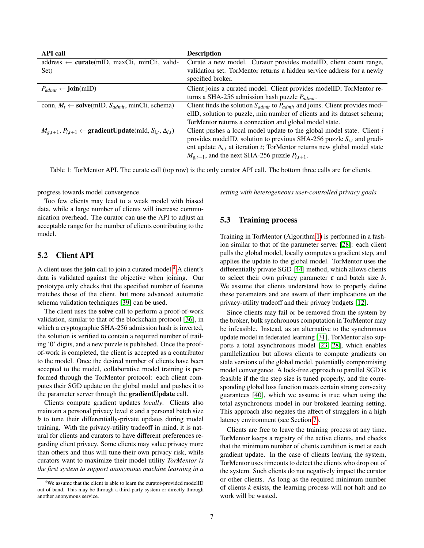| <b>API</b> call                                                                              | <b>Description</b>                                                                   |  |
|----------------------------------------------------------------------------------------------|--------------------------------------------------------------------------------------|--|
| $address \leftarrow \text{curate(mID, maxcli, mincli, valid-}$                               | Curate a new model. Curator provides modelID, client count range,                    |  |
| Set)                                                                                         | validation set. TorMentor returns a hidden service address for a newly               |  |
|                                                                                              | specified broker.                                                                    |  |
| $P_{admit} \leftarrow \textbf{join}(mID)$                                                    | Client joins a curated model. Client provides modelID; TorMentor re-                 |  |
|                                                                                              | turns a SHA-256 admission hash puzzle $P_{admit}$ .                                  |  |
| conn, $M_t \leftarrow$ <b>solve</b> (mID, $S_{admit}$ , minCli, schema)                      | Client finds the solution $S_{admit}$ to $P_{admit}$ and joins. Client provides mod- |  |
|                                                                                              | elID, solution to puzzle, min number of clients and its dataset schema;              |  |
|                                                                                              | TorMentor returns a connection and global model state.                               |  |
| $M_{g,t+1}, P_{i,t+1} \leftarrow \textbf{gradientUpdate}(\text{mId}, S_{i,t}, \Delta_{i,t})$ | Client pushes a local model update to the global model state. Client i               |  |
|                                                                                              | provides modelID, solution to previous SHA-256 puzzle $S_{i,t}$ and gradi-           |  |
|                                                                                              | ent update $\Delta_{i,t}$ at iteration t; TorMentor returns new global model state   |  |
|                                                                                              | $M_{g,t+1}$ , and the next SHA-256 puzzle $P_{i,t+1}$ .                              |  |

<span id="page-6-0"></span>Table 1: TorMentor API. The curate call (top row) is the only curator API call. The bottom three calls are for clients.

progress towards model convergence.

Too few clients may lead to a weak model with biased data, while a large number of clients will increase communication overhead. The curator can use the API to adjust an acceptable range for the number of clients contributing to the model.

# 5.2 Client API

A client uses the join call to join a curated model  $4$  A client's data is validated against the objective when joining. Our prototype only checks that the specified number of features matches those of the client, but more advanced automatic schema validation techniques [\[39\]](#page-14-21) can be used.

The client uses the solve call to perform a proof-of-work validation, similar to that of the blockchain protocol [\[36\]](#page-14-20), in which a cryptographic SHA-256 admission hash is inverted, the solution is verified to contain a required number of trailing '0' digits, and a new puzzle is published. Once the proofof-work is completed, the client is accepted as a contributor to the model. Once the desired number of clients have been accepted to the model, collaborative model training is performed through the TorMentor protocol: each client computes their SGD update on the global model and pushes it to the parameter server through the gradientUpdate call.

Clients compute gradient updates *locally*. Clients also maintain a personal privacy level  $\varepsilon$  and a personal batch size *b* to tune their differentially-private updates during model training. With the privacy-utility tradeoff in mind, it is natural for clients and curators to have different preferences regarding client privacy. Some clients may value privacy more than others and thus will tune their own privacy risk, while curators want to maximize their model utility *TorMentor is the first system to support anonymous machine learning in a* *setting with heterogeneous user-controlled privacy goals.*

#### 5.3 Training process

Training in TorMentor (Algorithm [1\)](#page-7-0) is performed in a fashion similar to that of the parameter server [\[28\]](#page-14-1): each client pulls the global model, locally computes a gradient step, and applies the update to the global model. TorMentor uses the differentially private SGD [\[44\]](#page-14-10) method, which allows clients to select their own privacy parameter  $\varepsilon$  and batch size  $b$ . We assume that clients understand how to properly define these parameters and are aware of their implications on the privacy-utility tradeoff and their privacy budgets [\[12\]](#page-13-3).

Since clients may fail or be removed from the system by the broker, bulk synchronous computation in TorMentor may be infeasible. Instead, as an alternative to the synchronous update model in federated learning [\[31\]](#page-14-3), TorMentor also supports a total asynchronous model [\[23,](#page-14-11) [28\]](#page-14-1), which enables parallelization but allows clients to compute gradients on stale versions of the global model, potentially compromising model convergence. A lock-free approach to parallel SGD is feasible if the the step size is tuned properly, and the corresponding global loss function meets certain strong convexity guarantees [\[40\]](#page-14-12), which we assume is true when using the total asynchronous model in our brokered learning setting. This approach also negates the affect of stragglers in a high latency environment (see Section [7\)](#page-8-0).

Clients are free to leave the training process at any time. TorMentor keeps a registry of the active clients, and checks that the minimum number of clients condition is met at each gradient update. In the case of clients leaving the system, TorMentor uses timeouts to detect the clients who drop out of the system. Such clients do not negatively impact the curator or other clients. As long as the required minimum number of clients *k* exists, the learning process will not halt and no work will be wasted.

<span id="page-6-1"></span><sup>4</sup>We assume that the client is able to learn the curator-provided modelID out of band. This may be through a third-party system or directly through another anonymous service.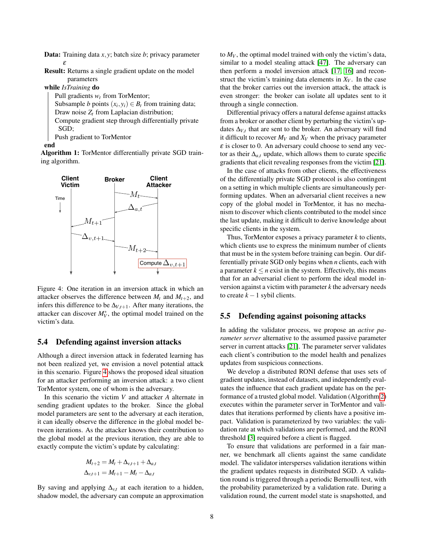Data: Training data *x*, *y*; batch size *b*; privacy parameter ε

Result: Returns a single gradient update on the model parameters

while *IsTraining* do

Pull gradients *w<sup>t</sup>* from TorMentor;

Subsample *b* points  $(x_i, y_i) \in B_t$  from training data;

Draw noise *Z<sup>t</sup>* from Laplacian distribution;

Compute gradient step through differentially private SGD;

Push gradient to TorMentor

end

<span id="page-7-0"></span>Algorithm 1: TorMentor differentially private SGD training algorithm.



<span id="page-7-1"></span>Figure 4: One iteration in an inversion attack in which an attacker observes the difference between  $M_t$  and  $M_{t+2}$ , and infers this difference to be  $\Delta$ *V*,*t*+1. After many iterations, the attacker can discover  $M_V^*$ , the optimal model trained on the victim's data.

# 5.4 Defending against inversion attacks

Although a direct inversion attack in federated learning has not been realized yet, we envision a novel potential attack in this scenario. Figure [4](#page-7-1) shows the proposed ideal situation for an attacker performing an inversion attack: a two client TorMentor system, one of whom is the adversary.

In this scenario the victim *V* and attacker *A* alternate in sending gradient updates to the broker. Since the global model parameters are sent to the adversary at each iteration, it can ideally observe the difference in the global model between iterations. As the attacker knows their contribution to the global model at the previous iteration, they are able to exactly compute the victim's update by calculating:

$$
M_{t+2} = M_t + \Delta_{v,t+1} + \Delta_{a,t}
$$
  

$$
\Delta_{v,t+1} = M_{t+1} - M_t - \Delta_{a,t}
$$

By saving and applying  $\Delta_{v,t}$  at each iteration to a hidden, shadow model, the adversary can compute an approximation to  $M_V$ , the optimal model trained with only the victim's data, similar to a model stealing attack [\[47\]](#page-14-18). The adversary can then perform a model inversion attack [\[17,](#page-13-5) [16\]](#page-13-6) and reconstruct the victim's training data elements in  $X_V$ . In the case that the broker carries out the inversion attack, the attack is even stronger: the broker can isolate all updates sent to it through a single connection.

Differential privacy offers a natural defense against attacks from a broker or another client by perturbing the victim's updates  $\Delta_{V,t}$  that are sent to the broker. An adversary will find it difficult to recover  $M_V$  and  $X_V$  when the privacy parameter  $\epsilon$  is closer to 0. An adversary could choose to send any vector as their  $\Delta_{a,t}$  update, which allows them to curate specific gradients that elicit revealing responses from the victim [\[21\]](#page-14-4).

In the case of attacks from other clients, the effectiveness of the differentially private SGD protocol is also contingent on a setting in which multiple clients are simultaneously performing updates. When an adversarial client receives a new copy of the global model in TorMentor, it has no mechanism to discover which clients contributed to the model since the last update, making it difficult to derive knowledge about specific clients in the system.

Thus, TorMentor exposes a privacy parameter *k* to clients, which clients use to express the minimum number of clients that must be in the system before training can begin. Our differentially private SGD only begins when *n* clients, each with a parameter  $k \leq n$  exist in the system. Effectively, this means that for an adversarial client to perform the ideal model inversion against a victim with parameter *k* the adversary needs to create *k* −1 sybil clients.

#### 5.5 Defending against poisoning attacks

In adding the validator process, we propose an *active parameter server* alternative to the assumed passive parameter server in current attacks [\[21\]](#page-14-4). The parameter server validates each client's contribution to the model health and penalizes updates from suspicious connections.

We develop a distributed RONI defense that uses sets of gradient updates, instead of datasets, and independently evaluates the influence that each gradient update has on the performance of a trusted global model. Validation (Algorithm [2\)](#page-8-1) executes within the parameter server in TorMentor and validates that iterations performed by clients have a positive impact. Validation is parameterized by two variables: the validation rate at which validations are performed, and the RONI threshold [\[3\]](#page-13-7) required before a client is flagged.

To ensure that validations are performed in a fair manner, we benchmark all clients against the same candidate model. The validator intersperses validation iterations within the gradient updates requests in distributed SGD. A validation round is triggered through a periodic Bernoulli test, with the probability parameterized by a validation rate. During a validation round, the current model state is snapshotted, and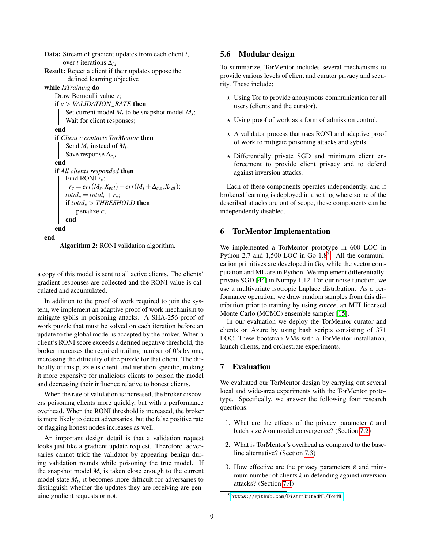Data: Stream of gradient updates from each client *i*, over *t* iterations ∆*i*,*<sup>t</sup>* Result: Reject a client if their updates oppose the defined learning objective while *IsTraining* do Draw Bernoulli value *v*; if *v* > *VALIDATION*\_*RATE* then Set current model  $M_t$  to be snapshot model  $M_s$ ; Wait for client responses; end if *Client c contacts TorMentor* then Send *M<sup>s</sup>* instead of *M<sup>t</sup>* ; Save response ∆*c*,*<sup>s</sup>* end if *All clients responded* then Find RONI *rc*:  $r_c = err(M_s, X_{val}) - err(M_s + \Delta_{c,s}, X_{val});$  $total_c = total_c + r_c;$ if *total<sup>c</sup>* > *THRESHOLD* then penalize *c*; end end end

<span id="page-8-1"></span>Algorithm 2: RONI validation algorithm.

a copy of this model is sent to all active clients. The clients' gradient responses are collected and the RONI value is calculated and accumulated.

In addition to the proof of work required to join the system, we implement an adaptive proof of work mechanism to mitigate sybils in poisoning attacks. A SHA-256 proof of work puzzle that must be solved on each iteration before an update to the global model is accepted by the broker. When a client's RONI score exceeds a defined negative threshold, the broker increases the required trailing number of 0's by one, increasing the difficulty of the puzzle for that client. The difficulty of this puzzle is client- and iteration-specific, making it more expensive for malicious clients to poison the model and decreasing their influence relative to honest clients.

When the rate of validation is increased, the broker discovers poisoning clients more quickly, but with a performance overhead. When the RONI threshold is increased, the broker is more likely to detect adversaries, but the false positive rate of flagging honest nodes increases as well.

An important design detail is that a validation request looks just like a gradient update request. Therefore, adversaries cannot trick the validator by appearing benign during validation rounds while poisoning the true model. If the snapshot model  $M_s$  is taken close enough to the current model state  $M_t$ , it becomes more difficult for adversaries to distinguish whether the updates they are receiving are genuine gradient requests or not.

#### 5.6 Modular design

To summarize, TorMentor includes several mechanisms to provide various levels of client and curator privacy and security. These include:

- $\star$  Using Tor to provide anonymous communication for all users (clients and the curator).
- $\star$  Using proof of work as a form of admission control.
- $\star$  A validator process that uses RONI and adaptive proof of work to mitigate poisoning attacks and sybils.
- $\star$  Differentially private SGD and minimum client enforcement to provide client privacy and to defend against inversion attacks.

Each of these components operates independently, and if brokered learning is deployed in a setting where some of the described attacks are out of scope, these components can be independently disabled.

#### 6 TorMentor Implementation

We implemented a TorMentor prototype in 600 LOC in Python 2.7 and 1,[5](#page-8-2)00 LOC in Go  $1.8<sup>5</sup>$ . All the communication primitives are developed in Go, while the vector computation and ML are in Python. We implement differentiallyprivate SGD [\[44\]](#page-14-10) in Numpy 1.12. For our noise function, we use a multivariate isotropic Laplace distribution. As a performance operation, we draw random samples from this distribution prior to training by using *emcee*, an MIT licensed Monte Carlo (MCMC) ensemble sampler [\[15\]](#page-13-16).

In our evaluation we deploy the TorMentor curator and clients on Azure by using bash scripts consisting of 371 LOC. These bootstrap VMs with a TorMentor installation, launch clients, and orchestrate experiments.

## <span id="page-8-0"></span>7 Evaluation

We evaluated our TorMentor design by carrying out several local and wide-area experiments with the TorMentor prototype. Specifically, we answer the following four research questions:

- 1. What are the effects of the privacy parameter  $\varepsilon$  and batch size *b* on model convergence? (Section [7.2\)](#page-9-0)
- 2. What is TorMentor's overhead as compared to the baseline alternative? (Section [7.3\)](#page-9-1)
- 3. How effective are the privacy parameters  $\varepsilon$  and minimum number of clients *k* in defending against inversion attacks? (Section [7.4\)](#page-10-0)

<span id="page-8-2"></span><sup>5</sup> <https://github.com/DistributedML/TorML>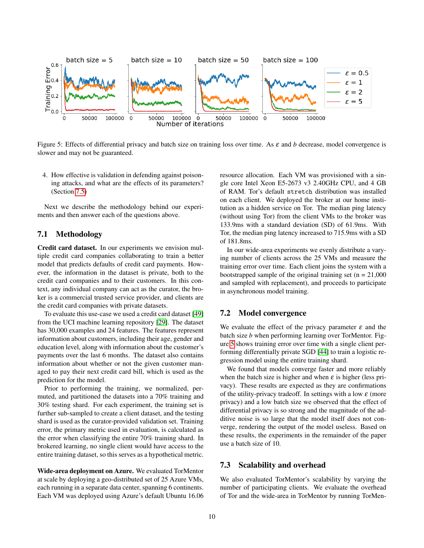

<span id="page-9-2"></span>Figure 5: Effects of differential privacy and batch size on training loss over time. As ε and *b* decrease, model convergence is slower and may not be guaranteed.

4. How effective is validation in defending against poisoning attacks, and what are the effects of its parameters? (Section [7.5\)](#page-11-0)

Next we describe the methodology behind our experiments and then answer each of the questions above.

#### 7.1 Methodology

Credit card dataset. In our experiments we envision multiple credit card companies collaborating to train a better model that predicts defaults of credit card payments. However, the information in the dataset is private, both to the credit card companies and to their customers. In this context, any individual company can act as the curator, the broker is a commercial trusted service provider, and clients are the credit card companies with private datasets.

To evaluate this use-case we used a credit card dataset [\[49\]](#page-14-22) from the UCI machine learning repository [\[29\]](#page-14-23). The dataset has 30,000 examples and 24 features. The features represent information about customers, including their age, gender and education level, along with information about the customer's payments over the last 6 months. The dataset also contains information about whether or not the given customer managed to pay their next credit card bill, which is used as the prediction for the model.

Prior to performing the training, we normalized, permuted, and partitioned the datasets into a 70% training and 30% testing shard. For each experiment, the training set is further sub-sampled to create a client dataset, and the testing shard is used as the curator-provided validation set. Training error, the primary metric used in evaluation, is calculated as the error when classifying the entire 70% training shard. In brokered learning, no single client would have access to the entire training dataset, so this serves as a hypothetical metric.

Wide-area deployment on Azure. We evaluated TorMentor at scale by deploying a geo-distributed set of 25 Azure VMs, each running in a separate data center, spanning 6 continents. Each VM was deployed using Azure's default Ubuntu 16.06 resource allocation. Each VM was provisioned with a single core Intel Xeon E5-2673 v3 2.40GHz CPU, and 4 GB of RAM. Tor's default stretch distribution was installed on each client. We deployed the broker at our home institution as a hidden service on Tor. The median ping latency (without using Tor) from the client VMs to the broker was 133.9ms with a standard deviation (SD) of 61.9ms. With Tor, the median ping latency increased to 715.9ms with a SD of 181.8ms.

In our wide-area experiments we evenly distribute a varying number of clients across the 25 VMs and measure the training error over time. Each client joins the system with a bootstrapped sample of the original training set  $(n = 21,000)$ and sampled with replacement), and proceeds to participate in asynchronous model training.

#### <span id="page-9-0"></span>7.2 Model convergence

We evaluate the effect of the privacy parameter  $\varepsilon$  and the batch size *b* when performing learning over TorMentor. Figure [5](#page-9-2) shows training error over time with a single client performing differentially private SGD [\[44\]](#page-14-10) to train a logistic regression model using the entire training shard.

We found that models converge faster and more reliably when the batch size is higher and when  $\varepsilon$  is higher (less privacy). These results are expected as they are confirmations of the utility-privacy tradeoff. In settings with a low  $\varepsilon$  (more privacy) and a low batch size we observed that the effect of differential privacy is so strong and the magnitude of the additive noise is so large that the model itself does not converge, rendering the output of the model useless. Based on these results, the experiments in the remainder of the paper use a batch size of 10.

#### <span id="page-9-1"></span>7.3 Scalability and overhead

We also evaluated TorMentor's scalability by varying the number of participating clients. We evaluate the overhead of Tor and the wide-area in TorMentor by running TorMen-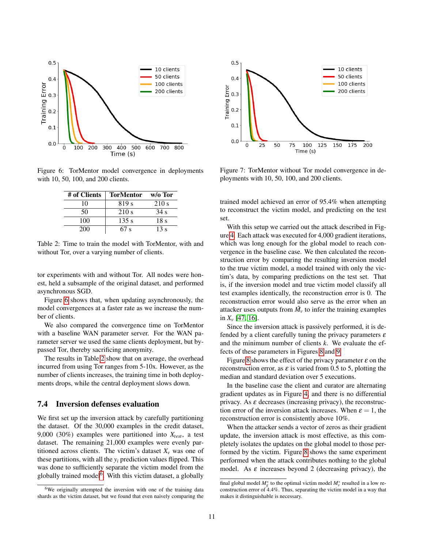

Figure 6: TorMentor model convergence in deployments with 10, 50, 100, and 200 clients.

<span id="page-10-1"></span>

| # of Clients | TorMentor        | $w/o$ Tor       |
|--------------|------------------|-----------------|
| 10           | 819 <sub>s</sub> | 210 s           |
| 50           | 210 s            | 34 s            |
| 100          | 135 s            | 18 <sub>s</sub> |
| 200          | 67 s             | 13 <sub>s</sub> |

<span id="page-10-2"></span>Table 2: Time to train the model with TorMentor, with and without Tor, over a varying number of clients.

tor experiments with and without Tor. All nodes were honest, held a subsample of the original dataset, and performed asynchronous SGD.

Figure [6](#page-10-1) shows that, when updating asynchronously, the model convergences at a faster rate as we increase the number of clients.

We also compared the convergence time on TorMentor with a baseline WAN parameter server. For the WAN parameter server we used the same clients deployment, but bypassed Tor, thereby sacrificing anonymity.

The results in Table [2](#page-10-2) show that on average, the overhead incurred from using Tor ranges from 5-10x. However, as the number of clients increases, the training time in both deployments drops, while the central deployment slows down.

# <span id="page-10-0"></span>7.4 Inversion defenses evaluation

We first set up the inversion attack by carefully partitioning the dataset. Of the 30,000 examples in the credit dataset, 9,000 (30%) examples were partitioned into *Xtest*, a test dataset. The remaining 21,000 examples were evenly partitioned across clients. The victim's dataset  $X_\nu$  was one of these partitions, with all the  $y_i$  prediction values flipped. This was done to sufficiently separate the victim model from the globally trained model<sup>[6](#page-10-3)</sup>. With this victim dataset, a globally



Figure 7: TorMentor without Tor model convergence in deployments with 10, 50, 100, and 200 clients.

trained model achieved an error of 95.4% when attempting to reconstruct the victim model, and predicting on the test set.

With this setup we carried out the attack described in Figure [4.](#page-7-1) Each attack was executed for 4,000 gradient iterations, which was long enough for the global model to reach convergence in the baseline case. We then calculated the reconstruction error by comparing the resulting inversion model to the true victim model, a model trained with only the victim's data, by comparing predictions on the test set. That is, if the inversion model and true victim model classify all test examples identically, the reconstruction error is 0. The reconstruction error would also serve as the error when an attacker uses outputs from  $\hat{M}_v$  to infer the training examples in  $X_v$  [\[47,](#page-14-18) [16\]](#page-13-6).

Since the inversion attack is passively performed, it is defended by a client carefully tuning the privacy parameters  $\varepsilon$ and the minimum number of clients *k*. We evaluate the effects of these parameters in Figures [8](#page-11-1) and [9.](#page-11-2)

Figure [8](#page-11-1) shows the effect of the privacy parameter  $\varepsilon$  on the reconstruction error, as  $\varepsilon$  is varied from 0.5 to 5, plotting the median and standard deviation over 5 executions.

In the baseline case the client and curator are alternating gradient updates as in Figure [4,](#page-7-1) and there is no differential privacy. As  $\varepsilon$  decreases (increasing privacy), the reconstruction error of the inversion attack increases. When  $\varepsilon = 1$ , the reconstruction error is consistently above 10%.

When the attacker sends a vector of zeros as their gradient update, the inversion attack is most effective, as this completely isolates the updates on the global model to those performed by the victim. Figure [8](#page-11-1) shows the same experiment performed when the attack contributes nothing to the global model. As  $\varepsilon$  increases beyond 2 (decreasing privacy), the

<span id="page-10-3"></span><sup>&</sup>lt;sup>6</sup>We originally attempted the inversion with one of the training data shards as the victim dataset, but we found that even naively comparing the

final global model  $M_g^*$  to the optimal victim model  $M_v^*$  resulted in a low reconstruction error of 4.4%. Thus, separating the victim model in a way that makes it distinguishable is necessary.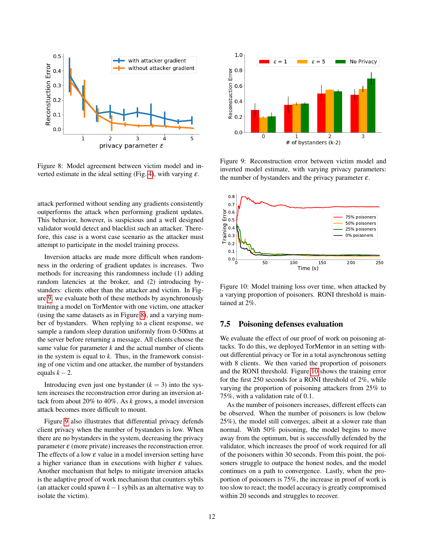

<span id="page-11-1"></span>Figure 8: Model agreement between victim model and in-verted estimate in the ideal setting (Fig. [4\)](#page-7-1), with varying  $\varepsilon$ .

attack performed without sending any gradients consistently outperforms the attack when performing gradient updates. This behavior, however, is suspicious and a well designed validator would detect and blacklist such an attacker. Therefore, this case is a worst case scenario as the attacker must attempt to participate in the model training process.

Inversion attacks are made more difficult when randomness in the ordering of gradient updates is increases. Two methods for increasing this randomness include (1) adding random latencies at the broker, and (2) introducing bystanders: clients other than the attacker and victim. In Figure [9,](#page-11-2) we evaluate both of these methods by asynchronously training a model on TorMentor with one victim, one attacker (using the same datasets as in Figure [8\)](#page-11-1), and a varying number of bystanders. When replying to a client response, we sample a random sleep duration uniformly from 0-500ms at the server before returning a message. All clients choose the same value for parameter  $k$  and the actual number of clients in the system is equal to *k*. Thus, in the framework consisting of one victim and one attacker, the number of bystanders equals  $k - 2$ .

Introducing even just one bystander  $(k = 3)$  into the system increases the reconstruction error during an inversion attack from about 20% to 40%. As *k* grows, a model inversion attack becomes more difficult to mount.

Figure [9](#page-11-2) also illustrates that differential privacy defends client privacy when the number of bystanders is low. When there are no bystanders in the system, decreasing the privacy parameter  $\varepsilon$  (more private) increases the reconstruction error. The effects of a low  $\varepsilon$  value in a model inversion setting have a higher variance than in executions with higher  $\varepsilon$  values. Another mechanism that helps to mitigate inversion attacks is the adaptive proof of work mechanism that counters sybils (an attacker could spawn *k*−1 sybils as an alternative way to isolate the victim).



<span id="page-11-2"></span>Figure 9: Reconstruction error between victim model and inverted model estimate, with varying privacy parameters: the number of bystanders and the privacy parameter  $\varepsilon$ .



<span id="page-11-3"></span>Figure 10: Model training loss over time, when attacked by a varying proportion of poisoners. RONI threshold is maintained at 2%.

# <span id="page-11-0"></span>7.5 Poisoning defenses evaluation

We evaluate the effect of our proof of work on poisoning attacks. To do this, we deployed TorMentor in an setting without differential privacy or Tor in a total asynchronous setting with 8 clients. We then varied the proportion of poisoners and the RONI threshold. Figure [10](#page-11-3) shows the training error for the first 250 seconds for a RONI threshold of 2%, while varying the proportion of poisoning attackers from 25% to 75%, with a validation rate of 0.1.

As the number of poisoners increases, different effects can be observed. When the number of poisoners is low (below 25%), the model still converges, albeit at a slower rate than normal. With 50% poisoning, the model begins to move away from the optimum, but is successfully defended by the validator, which increases the proof of work required for all of the poisoners within 30 seconds. From this point, the poisoners struggle to outpace the honest nodes, and the model continues on a path to convergence. Lastly, when the proportion of poisoners is 75%, the increase in proof of work is too slow to react; the model accuracy is greatly compromised within 20 seconds and struggles to recover.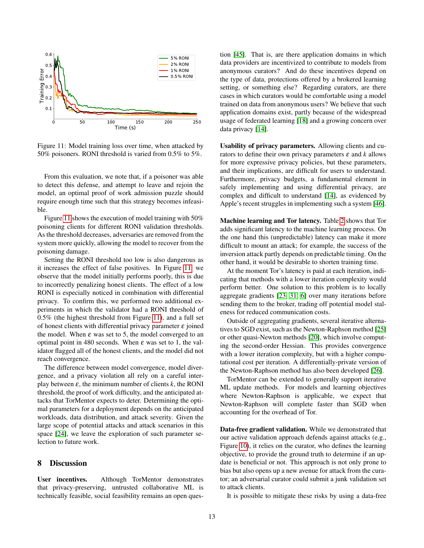

<span id="page-12-0"></span>Figure 11: Model training loss over time, when attacked by 50% poisoners. RONI threshold is varied from 0.5% to 5%.

From this evaluation, we note that, if a poisoner was able to detect this defense, and attempt to leave and rejoin the model, an optimal proof of work admission puzzle should require enough time such that this strategy becomes infeasible.

Figure [11](#page-12-0) shows the execution of model training with 50% poisoning clients for different RONI validation thresholds. As the threshold decreases, adversaries are removed from the system more quickly, allowing the model to recover from the poisoning damage.

Setting the RONI threshold too low is also dangerous as it increases the effect of false positives. In Figure [11,](#page-12-0) we observe that the model initially performs poorly, this is due to incorrectly penalizing honest clients. The effect of a low RONI is especially noticed in combination with differential privacy. To confirm this, we performed two additional experiments in which the validator had a RONI threshold of 0.5% (the highest threshold from Figure [11\)](#page-12-0), and a full set of honest clients with differential privacy parameter  $\varepsilon$  joined the model. When  $\varepsilon$  was set to 5, the model converged to an optimal point in 480 seconds. When  $\varepsilon$  was set to 1, the validator flagged all of the honest clients, and the model did not reach convergence.

The difference between model convergence, model divergence, and a privacy violation all rely on a careful interplay between  $\varepsilon$ , the minimum number of clients  $k$ , the RONI threshold, the proof of work difficulty, and the anticipated attacks that TorMentor expects to deter. Determining the optimal parameters for a deployment depends on the anticipated workloads, data distribution, and attack severity. Given the large scope of potential attacks and attack scenarios in this space [\[24\]](#page-14-8), we leave the exploration of such parameter selection to future work.

#### 8 Discussion

User incentives. Although TorMentor demonstrates that privacy-preserving, untrusted collaborative ML is technically feasible, social feasibility remains an open question [\[45\]](#page-14-24). That is, are there application domains in which data providers are incentivized to contribute to models from anonymous curators? And do these incentives depend on the type of data, protections offered by a brokered learning setting, or something else? Regarding curators, are there cases in which curators would be comfortable using a model trained on data from anonymous users? We believe that such application domains exist, partly because of the widespread usage of federated learning [\[18\]](#page-13-17) and a growing concern over data privacy [\[14\]](#page-13-18).

Usability of privacy parameters. Allowing clients and curators to define their own privacy parameters  $\varepsilon$  and  $k$  allows for more expressive privacy policies, but these parameters, and their implications, are difficult for users to understand. Furthermore, privacy budgets, a fundamental element in safely implementing and using differential privacy, are complex and difficult to understand [\[14\]](#page-13-18), as evidenced by Apple's recent struggles in implementing such a system [\[46\]](#page-14-25).

Machine learning and Tor latency. Table [2](#page-10-2) shows that Tor adds significant latency to the machine learning process. On the one hand this (unpredictable) latency can make it more difficult to mount an attack; for example, the success of the inversion attack partly depends on predictable timing. On the other hand, it would be desirable to shorten training time.

At the moment Tor's latency is paid at each iteration, indicating that methods with a lower iteration complexity would perform better. One solution to this problem is to locally aggregate gradients [\[23,](#page-14-11) [31,](#page-14-3) [6\]](#page-13-2) over many iterations before sending them to the broker, trading off potential model staleness for reduced communication costs.

Outside of aggregating gradients, several iterative alternatives to SGD exist, such as the Newton-Raphson method [\[25\]](#page-14-26) or other quasi-Newton methods [\[20\]](#page-13-19), which involve computing the second-order Hessian. This provides convergence with a lower iteration complexity, but with a higher computational cost per iteration. A differentially-private version of the Newton-Raphson method has also been developed [\[26\]](#page-14-27).

TorMentor can be extended to generally support iterative ML update methods. For models and learning objectives where Newton-Raphson is applicable, we expect that Newton-Raphson will complete faster than SGD when accounting for the overhead of Tor.

Data-free gradient validation. While we demonstrated that our active validation approach defends against attacks (e.g., Figure [10\)](#page-11-3), it relies on the curator, who defines the learning objective, to provide the ground truth to determine if an update is beneficial or not. This approach is not only prone to bias but also opens up a new avenue for attack from the curator; an adversarial curator could submit a junk validation set to attack clients.

It is possible to mitigate these risks by using a data-free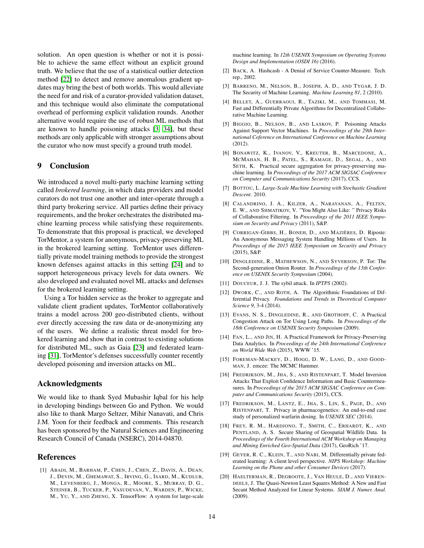solution. An open question is whether or not it is possible to achieve the same effect without an explicit ground truth. We believe that the use of a statistical outlier detection method [\[22\]](#page-14-28) to detect and remove anomalous gradient updates may bring the best of both worlds. This would alleviate the need for and risk of a curator-provided validation dataset, and this technique would also eliminate the computational overhead of performing explicit validation rounds. Another alternative would require the use of robust ML methods that are known to handle poisoning attacks [\[3,](#page-13-7) [34\]](#page-14-7), but these methods are only applicable with stronger assumptions about the curator who now must specify a ground truth model.

#### 9 Conclusion

We introduced a novel multi-party machine learning setting called *brokered learning*, in which data providers and model curators do not trust one another and inter-operate through a third party brokering service. All parties define their privacy requirements, and the broker orchestrates the distributed machine learning process while satisfying these requirements. To demonstrate that this proposal is practical, we developed TorMentor, a system for anonymous, privacy-preserving ML in the brokered learning setting. TorMentor uses differentially private model training methods to provide the strongest known defenses against attacks in this setting [\[24\]](#page-14-8) and to support heterogeneous privacy levels for data owners. We also developed and evaluated novel ML attacks and defenses for the brokered learning setting.

Using a Tor hidden service as the broker to aggregate and validate client gradient updates, TorMentor collaboratively trains a model across 200 geo-distributed clients, without ever directly accessing the raw data or de-anonymizing any of the users. We define a realistic threat model for brokered learning and show that in contrast to existing solutions for distributed ML, such as Gaia [\[23\]](#page-14-11) and federated learning [\[31\]](#page-14-3), TorMentor's defenses successfully counter recently developed poisoning and inversion attacks on ML.

#### Acknowledgments

We would like to thank Syed Mubashir Iqbal for his help in developing bindings between Go and Python. We would also like to thank Margo Seltzer, Mihir Nanavati, and Chris J.M. Yoon for their feedback and comments. This research has been sponsored by the Natural Sciences and Engineering Research Council of Canada (NSERC), 2014-04870.

#### References

<span id="page-13-0"></span>[1] ABADI, M., BARHAM, P., CHEN, J., CHEN, Z., DAVIS, A., DEAN, J., DEVIN, M., GHEMAWAT, S., IRVING, G., ISARD, M., KUDLUR, M., LEVENBERG, J., MONGA, R., MOORE, S., MURRAY, D. G., STEINER, B., TUCKER, P., VASUDEVAN, V., WARDEN, P., WICKE, M., YU, Y., AND ZHENG, X. TensorFlow: A system for large-scale machine learning. In *12th USENIX Symposium on Operating Systems Design and Implementation (OSDI 16)* (2016).

- <span id="page-13-9"></span>[2] BACK, A. Hashcash - A Denial of Service Counter-Measure. Tech. rep., 2002.
- <span id="page-13-7"></span>[3] BARRENO, M., NELSON, B., JOSEPH, A. D., AND TYGAR, J. D. The Security of Machine Learning. *Machine Learning 81*, 2 (2010).
- <span id="page-13-12"></span>[4] BELLET, A., GUERRAOUI, R., TAZIKI, M., AND TOMMASI, M. Fast and Differentially Private Algorithms for Decentralized Collaborative Machine Learning.
- <span id="page-13-8"></span>[5] BIGGIO, B., NELSON, B., AND LASKOV, P. Poisoning Attacks Against Support Vector Machines. In *Proceedings of the 29th International Coference on International Conference on Machine Learning* (2012).
- <span id="page-13-2"></span>[6] BONAWITZ, K., IVANOV, V., KREUTER, B., MARCEDONE, A., MCMAHAN, H. B., PATEL, S., RAMAGE, D., SEGAL, A., AND SETH, K. Practical secure aggregation for privacy-preserving machine learning. In *Proceedings of the 2017 ACM SIGSAC Conference on Computer and Communications Security* (2017), CCS.
- <span id="page-13-11"></span>[7] BOTTOU, L. *Large-Scale Machine Learning with Stochastic Gradient Descent*. 2010.
- <span id="page-13-1"></span>[8] CALANDRINO, J. A., KILZER, A., NARAYANAN, A., FELTEN, E. W., AND SHMATIKOV, V. "You Might Also Like: " Privacy Risks of Collaborative Filtering. In *Proceedings of the 2011 IEEE Symposium on Security and Privacy* (2011), S&P.
- <span id="page-13-15"></span>[9] CORRIGAN-GIBBS, H., BONEH, D., AND MAZIÈRES, D. Riposte: An Anonymous Messaging System Handling Millions of Users. In *Proceedings of the 2015 IEEE Symposium on Security and Privacy* (2015), S&P.
- <span id="page-13-13"></span>[10] DINGLEDINE, R., MATHEWSON, N., AND SYVERSON, P. Tor: The Second-generation Onion Router. In *Proceedings of the 13th Conference on USENIX Security Symposium* (2004).
- <span id="page-13-10"></span>[11] DOUCEUR, J. J. The sybil attack. In *IPTPS* (2002).
- <span id="page-13-3"></span>[12] DWORK, C., AND ROTH, A. The Algorithmic Foundations of Differential Privacy. *Foundations and Trends in Theoretical Computer Science 9*, 3-4 (2014).
- <span id="page-13-14"></span>[13] EVANS, N. S., DINGLEDINE, R., AND GROTHOFF, C. A Practical Congestion Attack on Tor Using Long Paths. In *Proceedings of the 18th Conference on USENIX Security Symposium* (2009).
- <span id="page-13-18"></span>[14] FAN, L., AND JIN, H. A Practical Framework for Privacy-Preserving Data Analytics. In *Proceedings of the 24th International Conference on World Wide Web* (2015), WWW '15.
- <span id="page-13-16"></span>[15] FOREMAN-MACKEY, D., HOGG, D. W., LANG, D., AND GOOD-MAN, J. emcee: The MCMC Hammer.
- <span id="page-13-6"></span>[16] FREDRIKSON, M., JHA, S., AND RISTENPART, T. Model Inversion Attacks That Exploit Confidence Information and Basic Countermeasures. In *Proceedings of the 2015 ACM SIGSAC Conference on Computer and Communications Security* (2015), CCS.
- <span id="page-13-5"></span>[17] FREDRIKSON, M., LANTZ, E., JHA, S., LIN, S., PAGE, D., AND RISTENPART, T. Privacy in pharmacogenetics: An end-to-end case study of personalized warfarin dosing. In *USENIX SEC* (2014).
- <span id="page-13-17"></span>[18] FREY, R. M., HARDJONO, T., SMITH, C., ERHARDT, K., AND PENTLAND, A. S. Secure Sharing of Geospatial Wildlife Data. In *Proceedings of the Fourth International ACM Workshop on Managing and Mining Enriched Geo-Spatial Data* (2017), GeoRich '17.
- <span id="page-13-4"></span>[19] GEYER, R. C., KLEIN, T., AND NABI, M. Differentially private federated learning: A client level perspective. *NIPS Workshop: Machine Learning on the Phone and other Consumer Devices* (2017).
- <span id="page-13-19"></span>[20] HAELTERMAN, R., DEGROOTE, J., VAN HEULE, D., AND VIEREN-DEELS, J. The Quasi-Newton Least Squares Method: A New and Fast Secant Method Analyzed for Linear Systems. *SIAM J. Numer. Anal.* (2009).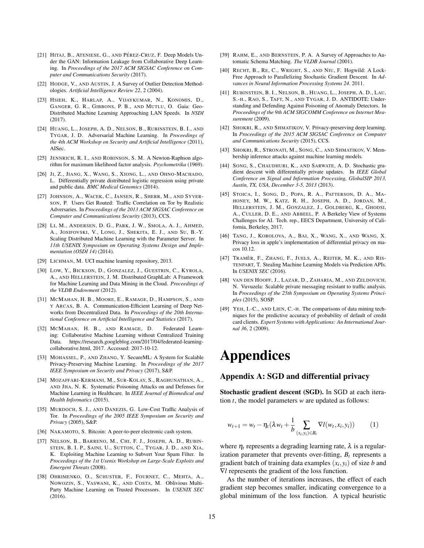- <span id="page-14-4"></span>[21] HITAJ, B., ATENIESE, G., AND PÉREZ-CRUZ, F. Deep Models Under the GAN: Information Leakage from Collaborative Deep Learning. In *Proceedings of the 2017 ACM SIGSAC Conference on Computer and Communications Security* (2017).
- <span id="page-14-28"></span>[22] HODGE, V., AND AUSTIN, J. A Survey of Outlier Detection Methodologies. *Artificial Intelligence Review 22*, 2 (2004).
- <span id="page-14-11"></span>[23] HSIEH, K., HARLAP, A., VIJAYKUMAR, N., KONOMIS, D., GANGER, G. R., GIBBONS, P. B., AND MUTLU, O. Gaia: Geo-Distributed Machine Learning Approaching LAN Speeds. In *NSDI* (2017).
- <span id="page-14-8"></span>[24] HUANG, L., JOSEPH, A. D., NELSON, B., RUBINSTEIN, B. I., AND TYGAR, J. D. Adversarial Machine Learning. In *Proceedings of the 4th ACM Workshop on Security and Artificial Intelligence* (2011), AISec.
- <span id="page-14-26"></span>[25] JENNRICH, R. I., AND ROBINSON, S. M. A Newton-Raphson algorithm for maximum likelihood factor analysis. *Psychometrika* (1969).
- <span id="page-14-27"></span>[26] JI, Z., JIANG, X., WANG, S., XIONG, L., AND OHNO-MACHADO, L. Differentially private distributed logistic regression using private and public data. *BMC Medical Genomics* (2014).
- <span id="page-14-17"></span>[27] JOHNSON, A., WACEK, C., JANSEN, R., SHERR, M., AND SYVER-SON, P. Users Get Routed: Traffic Correlation on Tor by Realistic Adversaries. In *Proceedings of the 2013 ACM SIGSAC Conference on Computer and Communications Security* (2013), CCS.
- <span id="page-14-1"></span>[28] LI, M., ANDERSEN, D. G., PARK, J. W., SMOLA, A. J., AHMED, A., JOSIFOVSKI, V., LONG, J., SHEKITA, E. J., AND SU, B.-Y. Scaling Distributed Machine Learning with the Parameter Server. In *11th USENIX Symposium on Operating Systems Design and Implementation (OSDI 14)* (2014).
- <span id="page-14-23"></span>[29] LICHMAN, M. UCI machine learning repository, 2013.
- <span id="page-14-0"></span>[30] LOW, Y., BICKSON, D., GONZALEZ, J., GUESTRIN, C., KYROLA, A., AND HELLERSTEIN, J. M. Distributed GraphLab: A Framework for Machine Learning and Data Mining in the Cloud. *Proceedings of the VLDB Endowment* (2012).
- <span id="page-14-3"></span>[31] MCMAHAN, H. B., MOORE, E., RAMAGE, D., HAMPSON, S., AND Y ARCAS, B. A. Communication-Efficient Learning of Deep Networks from Decentralized Data. In *Proceedings of the 20th International Conference on Artificial Intelligence and Statistics* (2017).
- <span id="page-14-2"></span>[32] MCMAHAN, H. B., AND RAMAGE, D. Federated Learning: Collaborative Machine Learning without Centralized Training Data. https://research.googleblog.com/2017/04/federated-learningcollaborative.html, 2017. Accessed: 2017-10-12.
- <span id="page-14-5"></span>[33] MOHASSEL, P., AND ZHANG, Y. SecureML: A System for Scalable Privacy-Preserving Machine Learning. In *Proceedings of the 2017 IEEE Symposium on Security and Privacy* (2017), S&P.
- <span id="page-14-7"></span>[34] MOZAFFARI-KERMANI, M., SUR-KOLAY, S., RAGHUNATHAN, A., AND JHA, N. K. Systematic Poisoning Attacks on and Defenses for Machine Learning in Healthcare. In *IEEE Journal of Biomedical and Health Informatics* (2015).
- <span id="page-14-16"></span>[35] MURDOCH, S. J., AND DANEZIS, G. Low-Cost Traffic Analysis of Tor. In *Proceedings of the 2005 IEEE Symposium on Security and Privacy* (2005), S&P.
- <span id="page-14-20"></span>[36] NAKAMOTO, S. Bitcoin: A peer-to-peer electronic cash system.
- <span id="page-14-9"></span>[37] NELSON, B., BARRENO, M., CHI, F. J., JOSEPH, A. D., RUBIN-STEIN, B. I. P., SAINI, U., SUTTON, C., TYGAR, J. D., AND XIA, K. Exploiting Machine Learning to Subvert Your Spam Filter. In *Proceedings of the 1st Usenix Workshop on Large-Scale Exploits and Emergent Threats* (2008).
- <span id="page-14-6"></span>[38] OHRIMENKO, O., SCHUSTER, F., FOURNET, C., MEHTA, A., NOWOZIN, S., VASWANI, K., AND COSTA, M. Oblivious Multi-Party Machine Learning on Trusted Processors. In *USENIX SEC* (2016).
- <span id="page-14-21"></span>[39] RAHM, E., AND BERNSTEIN, P. A. A Survey of Approaches to Automatic Schema Matching. *The VLDB Journal* (2001).
- <span id="page-14-12"></span>[40] RECHT, B., RE, C., WRIGHT, S., AND NIU, F. Hogwild: A Lock-Free Approach to Parallelizing Stochastic Gradient Descent. In *Advances in Neural Information Processing Systems 24*. 2011.
- <span id="page-14-13"></span>[41] RUBINSTEIN, B. I., NELSON, B., HUANG, L., JOSEPH, A. D., LAU, S.-H., RAO, S., TAFT, N., AND TYGAR, J. D. ANTIDOTE: Understanding and Defending Against Poisoning of Anomaly Detectors. In *Proceedings of the 9th ACM SIGCOMM Conference on Internet Measurement* (2009).
- <span id="page-14-14"></span>[42] SHOKRI, R., AND SHMATIKOV, V. Privacy-preserving deep learning. In *Proceedings of the 2015 ACM SIGSAC Conference on Computer and Communications Security* (2015), CCS.
- <span id="page-14-15"></span>[43] SHOKRI, R., STRONATI, M., SONG, C., AND SHMATIKOV, V. Membership inference attacks against machine learning models.
- <span id="page-14-10"></span>[44] SONG, S., CHAUDHURI, K., AND SARWATE, A. D. Stochastic gradient descent with differentially private updates. In *IEEE Global Conference on Signal and Information Processing, GlobalSIP 2013, Austin, TX, USA, December 3-5, 2013* (2013).
- <span id="page-14-24"></span>[45] STOICA, I., SONG, D., POPA, R. A., PATTERSON, D. A., MA-HONEY, M. W., KATZ, R. H., JOSEPH, A. D., JORDAN, M., HELLERSTEIN, J. M., GONZALEZ, J., GOLDBERG, K., GHODSI, A., CULLER, D. E., AND ABBEEL, P. A Berkeley View of Systems Challenges for AI. Tech. rep., EECS Department, University of California, Berkeley, 2017.
- <span id="page-14-25"></span>[46] TANG, J., KOROLOVA, A., BAI, X., WANG, X., AND WANG, X. Privacy loss in apple's implementation of differential privacy on macos 10.12.
- <span id="page-14-18"></span>[47] TRAMÈR, F., ZHANG, F., JUELS, A., REITER, M. K., AND RIS-TENPART, T. Stealing Machine Learning Models via Prediction APIs. In *USENIX SEC* (2016).
- <span id="page-14-19"></span>[48] VAN DEN HOOFF, J., LAZAR, D., ZAHARIA, M., AND ZELDOVICH, N. Vuvuzela: Scalable private messaging resistant to traffic analysis. In *Proceedings of the 25th Symposium on Operating Systems Principles* (2015), SOSP.
- <span id="page-14-22"></span>[49] YEH, I.-C., AND LIEN, C.-H. The comparisons of data mining techniques for the predictive accuracy of probability of default of credit card clients. *Expert Systems with Applications: An International Journal 36*, 2 (2009).

# Appendices

#### Appendix A: SGD and differential privacy

Stochastic gradient descent (SGD). In SGD at each iteration *t*, the model parameters *w* are updated as follows:

$$
w_{t+1} = w_t - \eta_t (\lambda w_t + \frac{1}{b} \sum_{(x_i, y_i) \in B_t} \nabla l(w_t, x_i, y_i))
$$
 (1)

where  $\eta_t$  represents a degrading learning rate,  $\lambda$  is a regularization parameter that prevents over-fitting,  $B_t$  represents a gradient batch of training data examples  $(x_i, y_i)$  of size *b* and ∇*l* represents the gradient of the loss function.

As the number of iterations increases, the effect of each gradient step becomes smaller, indicating convergence to a global minimum of the loss function. A typical heuristic